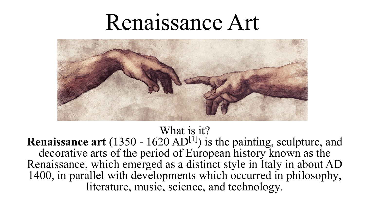# Renaissance Art



#### What is it?

**Renaissance art** (1350 - 1620 AD<sup>[1]</sup>) is the painting, sculpture, and decorative arts of the period of European history known as the [Renaissance,](https://en.wikipedia.org/wiki/Renaissance) which emerged as a distinct style in [Italy](https://en.wikipedia.org/wiki/Italy) in about AD 1400, in parallel with developments which occurred in [philosophy,](https://en.wikipedia.org/wiki/Renaissance_philosophy) [literature,](https://en.wikipedia.org/wiki/Renaissance_literature) [music](https://en.wikipedia.org/wiki/Renaissance_music), [science,](https://en.wikipedia.org/wiki/Renaissance_science) and [technology](https://en.wikipedia.org/wiki/Renaissance_technology).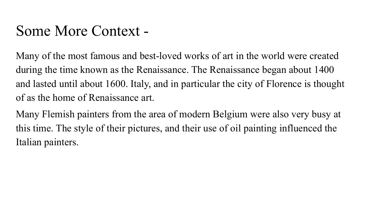#### Some More Context -

Many of the most famous and best-loved works of art in the world were created during the time known as the [Renaissance.](https://simple.wikipedia.org/wiki/Renaissance) The Renaissance began about 1400 and lasted until about 1600. Italy, and in particular the city of [Florence](https://simple.wikipedia.org/wiki/Florence) is thought of as the home of Renaissance art.

Many Flemish painters from the area of modern [Belgium](https://simple.wikipedia.org/wiki/Belgium) were also very busy at this time. The style of their pictures, and their use of [oil painting](https://simple.wikipedia.org/wiki/Oil_painting) influenced the Italian painters.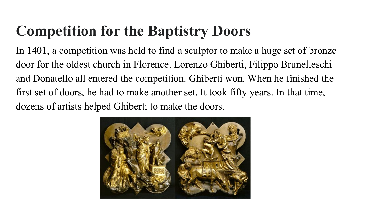# **Competition for the Baptistry Doors**

In 1401, a competition was held to find a sculptor to make a huge set of [bronze](https://simple.wikipedia.org/wiki/Bronze) door for the oldest church in [Florence](https://simple.wikipedia.org/wiki/Florence). Lorenzo [Ghiberti,](https://simple.wikipedia.org/w/index.php?title=Ghiberti&action=edit&redlink=1) Filippo [Brunelleschi](https://simple.wikipedia.org/wiki/Brunelleschi) and [Donatello](https://simple.wikipedia.org/wiki/Donatello) all entered the competition. Ghiberti won. When he finished the first set of doors, he had to make another set. It took fifty years. In that time, dozens of artists helped Ghiberti to make the doors.

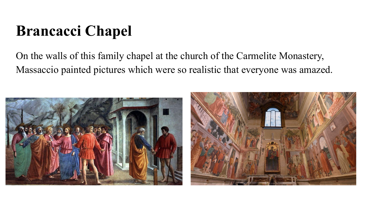# **Brancacci Chapel**

On the walls of this family [chapel](https://simple.wikipedia.org/wiki/Chapel) at the church of the Carmelite Monastery, [Massaccio](https://simple.wikipedia.org/w/index.php?title=Massaccio&action=edit&redlink=1) painted pictures which were so realistic that everyone was amazed.

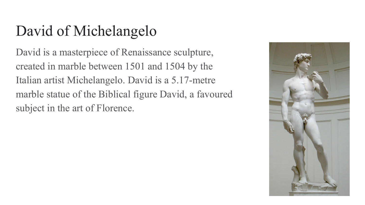# David of Michelangelo

David is a masterpiece of Renaissance sculpture, created in marble between 1501 and 1504 by the Italian artist Michelangelo. David is a 5.17-metre marble statue of the Biblical figure David, a favoured subject in the art of Florence.

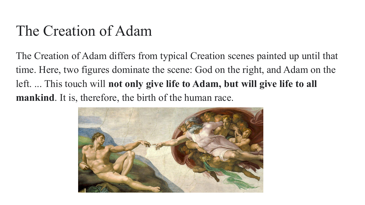#### The Creation of Adam

The Creation of Adam differs from typical Creation scenes painted up until that time. Here, two figures dominate the scene: God on the right, and Adam on the left. ... This touch will **not only give life to Adam, but will give life to all mankind**. It is, therefore, the birth of the human race.

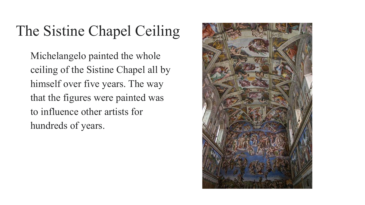## The Sistine Chapel Ceiling

[Michelangelo](https://simple.wikipedia.org/wiki/Michelangelo) painted the whole ceiling of the [Sistine Chapel](https://simple.wikipedia.org/wiki/Sistine_Chapel) all by himself over five years. The way that the figures were painted was to influence other artists for hundreds of years.

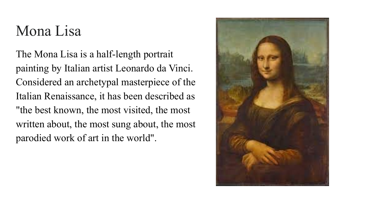#### Mona Lisa

The Mona Lisa is a half-length portrait painting by Italian artist Leonardo da Vinci. Considered an archetypal masterpiece of the Italian Renaissance, it has been described as "the best known, the most visited, the most written about, the most sung about, the most parodied work of art in the world".